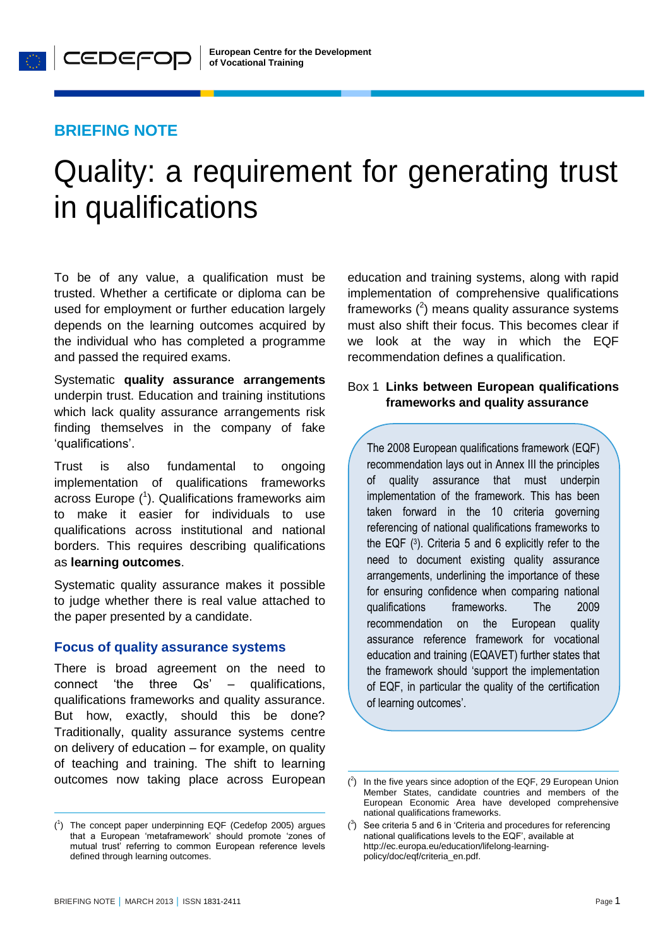# **BRIEFING NOTE**

**O** CEDEFOP

# Quality: a requirement for generating trust in qualifications

 $\overline{a}$ 

To be of any value, a qualification must be trusted. Whether a certificate or diploma can be used for employment or further education largely depends on the learning outcomes acquired by the individual who has completed a programme and passed the required exams.

Systematic **quality assurance arrangements** underpin trust. Education and training institutions which lack quality assurance arrangements risk finding themselves in the company of fake 'qualifications'.

Trust is also fundamental to ongoing implementation of qualifications frameworks across Europe  $(1)$ . Qualifications frameworks aim to make it easier for individuals to use qualifications across institutional and national borders. This requires describing qualifications as **learning outcomes**.

Systematic quality assurance makes it possible to judge whether there is real value attached to the paper presented by a candidate.

#### **Focus of quality assurance systems**

There is broad agreement on the need to connect 'the three Qs' – qualifications, qualifications frameworks and quality assurance. But how, exactly, should this be done? Traditionally, quality assurance systems centre on delivery of education – for example, on quality of teaching and training. The shift to learning outcomes now taking place across European education and training systems, along with rapid implementation of comprehensive qualifications frameworks  $(^2)$  means quality assurance systems must also shift their focus. This becomes clear if we look at the way in which the EQF recommendation defines a qualification.

# Box 1 **Links between European qualifications frameworks and quality assurance**

The 2008 European qualifications framework (EQF) recommendation lays out in Annex III the principles of quality assurance that must underpin implementation of the framework. This has been taken forward in the 10 criteria governing referencing of national qualifications frameworks to the EQF (<sup>3</sup> ). Criteria 5 and 6 explicitly refer to the need to document existing quality assurance arrangements, underlining the importance of these for ensuring confidence when comparing national qualifications frameworks. The 2009 recommendation on the European quality assurance reference framework for vocational education and training (EQAVET) further states that the framework should 'support the implementation of EQF, in particular the quality of the certification of learning outcomes'.

-

<sup>(</sup> 1 ) The [concept paper underpinning EQF](http://www.cedefop.europa.eu/en/Files/5146_EN.PDF) (Cedefop 2005) argues that a European 'metaframework' should promote 'zones of mutual trust' referring to common European reference levels defined through learning outcomes.

 $($ <sup>2</sup> In the five years since adoption of the EQF, 29 European Union Member States, candidate countries and members of the European Economic Area have developed comprehensive national qualifications frameworks.

 $(3)$  See criteria 5 and 6 in 'Criteria and procedures for referencing national qualifications levels to the EQF', available at [http://ec.europa.eu/education/lifelong-learning](http://ec.europa.eu/education/lifelong-learning-policy/doc/eqf/criteria_en.pdf)[policy/doc/eqf/criteria\\_en.pdf.](http://ec.europa.eu/education/lifelong-learning-policy/doc/eqf/criteria_en.pdf)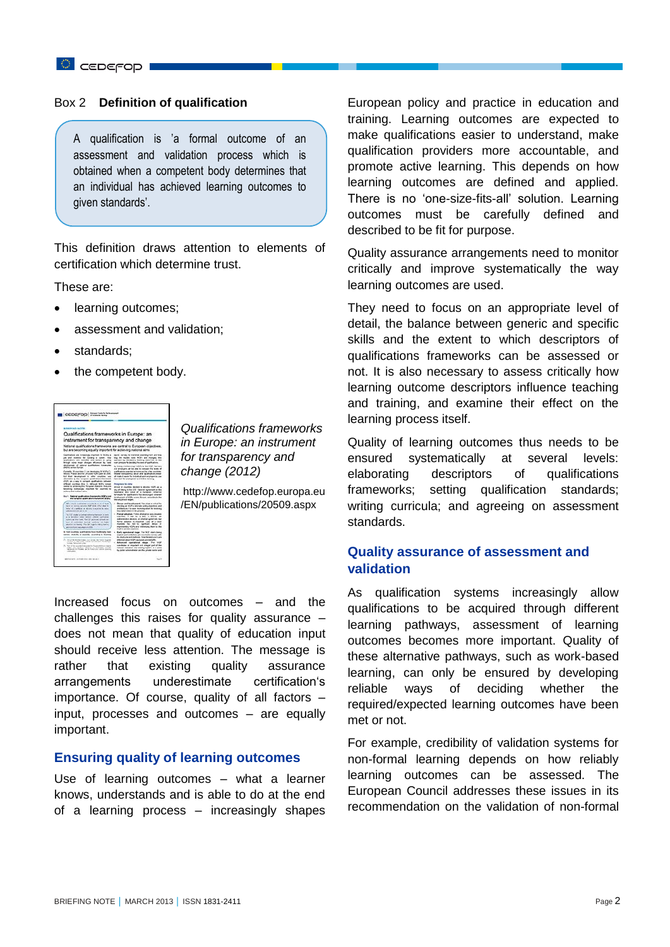#### Box 2 **Definition of qualification**

A qualification is 'a formal outcome of an assessment and validation process which is obtained when a competent body determines that an individual has achieved learning outcomes to given standards'.

This definition draws attention to elements of certification which determine trust.

These are:

- learning outcomes;
- assessment and validation;
- standards;
- the competent body.



*Qualifications frameworks in Europe: an instrument for transparency and change (2012)*

[http://www.cedefop.europa.eu](http://www.cedefop.europa.eu/EN/publications/20509.aspx) [/EN/publications/20509.aspx](http://www.cedefop.europa.eu/EN/publications/20509.aspx)

Increased focus on outcomes – and the challenges this raises for quality assurance – does not mean that quality of education input should receive less attention. The message is rather that existing quality assurance arrangements underestimate certification's importance. Of course, quality of all factors – input, processes and outcomes – are equally important.

#### **Ensuring quality of learning outcomes**

Use of learning outcomes – what a learner knows, understands and is able to do at the end of a learning process – increasingly shapes European policy and practice in education and training. Learning outcomes are expected to make qualifications easier to understand, make qualification providers more accountable, and promote active learning. This depends on how learning outcomes are defined and applied. There is no 'one-size-fits-all' solution. Learning outcomes must be carefully defined and described to be fit for purpose.

Quality assurance arrangements need to monitor critically and improve systematically the way learning outcomes are used.

They need to focus on an appropriate level of detail, the balance between generic and specific skills and the extent to which descriptors of qualifications frameworks can be assessed or not. It is also necessary to assess critically how learning outcome descriptors influence teaching and training, and examine their effect on the learning process itself.

Quality of learning outcomes thus needs to be ensured systematically at several levels: elaborating descriptors of qualifications frameworks; setting qualification standards; writing curricula; and agreeing on assessment standards.

# **Quality assurance of assessment and validation**

As qualification systems increasingly allow qualifications to be acquired through different learning pathways, assessment of learning outcomes becomes more important. Quality of these alternative pathways, such as work-based learning, can only be ensured by developing reliable ways of deciding whether the required/expected learning outcomes have been met or not.

For example, credibility of validation systems for non-formal learning depends on how reliably learning outcomes can be assessed. The European Council addresses these issues in its recommendation on the validation of non-formal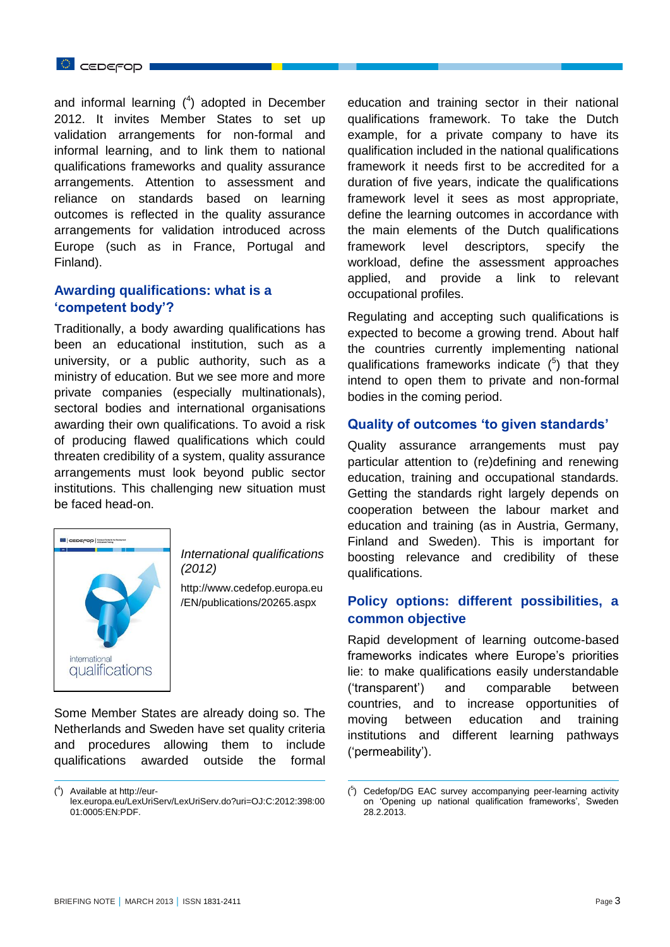and informal learning  $(4)$  adopted in December 2012. It invites Member States to set up validation arrangements for non-formal and informal learning, and to link them to national qualifications frameworks and quality assurance arrangements. Attention to assessment and reliance on standards based on learning outcomes is reflected in the quality assurance arrangements for validation introduced across Europe (such as in France, Portugal and Finland).

# **Awarding qualifications: what is a 'competent body'?**

Traditionally, a body awarding qualifications has been an educational institution, such as a university, or a public authority, such as a ministry of education. But we see more and more private companies (especially multinationals), sectoral bodies and international organisations awarding their own qualifications. To avoid a risk of producing flawed qualifications which could threaten credibility of a system, quality assurance arrangements must look beyond public sector institutions. This challenging new situation must be faced head-on.



-

*International qualifications (2012)* 

http://www.cedefop.europa.eu /EN/publications/20265.aspx

-

Some Member States are already doing so. The Netherlands and Sweden have set quality criteria and procedures allowing them to include qualifications awarded outside the formal

education and training sector in their national qualifications framework. To take the Dutch example, for a private company to have its qualification included in the national qualifications framework it needs first to be accredited for a duration of five years, indicate the qualifications framework level it sees as most appropriate, define the learning outcomes in accordance with the main elements of the Dutch qualifications framework level descriptors, specify the workload, define the assessment approaches applied, and provide a link to relevant occupational profiles.

Regulating and accepting such qualifications is expected to become a growing trend. About half the countries currently implementing national qualifications frameworks indicate  $(^5)$  that they intend to open them to private and non-formal bodies in the coming period.

#### **Quality of outcomes 'to given standards'**

Quality assurance arrangements must pay particular attention to (re)defining and renewing education, training and occupational standards. Getting the standards right largely depends on cooperation between the labour market and education and training (as in Austria, Germany, Finland and Sweden). This is important for boosting relevance and credibility of these qualifications.

# **Policy options: different possibilities, a common objective**

Rapid development of learning outcome-based frameworks indicates where Europe's priorities lie: to make qualifications easily understandable ('transparent') and comparable between countries, and to increase opportunities of moving between education and training institutions and different learning pathways ('permeability').

<sup>(</sup> 4 ) Available at [http://eur](http://eur-lex.europa.eu/LexUriServ/LexUriServ.do?uri=OJ:C:2012:398:0001:0005:EN:PDF)[lex.europa.eu/LexUriServ/LexUriServ.do?uri=OJ:C:2012:398:00](http://eur-lex.europa.eu/LexUriServ/LexUriServ.do?uri=OJ:C:2012:398:0001:0005:EN:PDF) [01:0005:EN:PDF.](http://eur-lex.europa.eu/LexUriServ/LexUriServ.do?uri=OJ:C:2012:398:0001:0005:EN:PDF)

<sup>(</sup> 5 ) Cedefop/DG EAC survey accompanying peer-learning activity on 'Opening up national qualification frameworks', Sweden 28.2.2013.